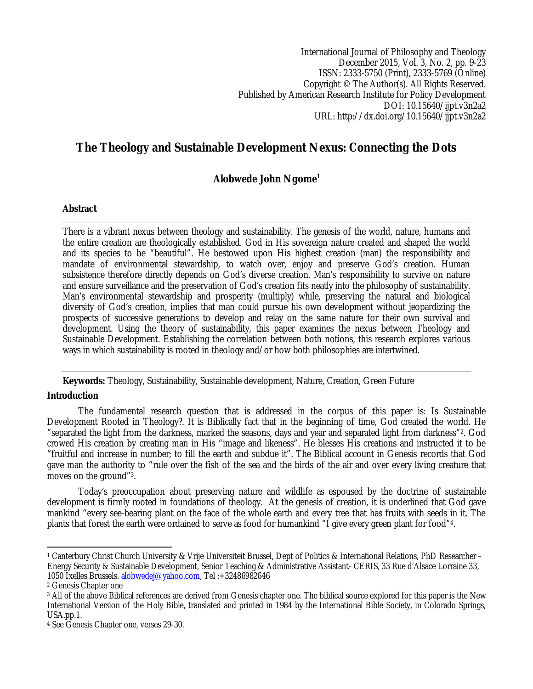International Journal of Philosophy and Theology December 2015, Vol. 3, No. 2, pp. 9-23 ISSN: 2333-5750 (Print), 2333-5769 (Online) Copyright © The Author(s). All Rights Reserved. Published by American Research Institute for Policy Development DOI: 10.15640/ijpt.v3n2a2 URL: http://dx.doi.org/10.15640/ijpt.v3n2a2

# **The Theology and Sustainable Development Nexus: Connecting the Dots**

# **Alobwede John Ngome<sup>1</sup>**

### **Abstract**

There is a vibrant nexus between theology and sustainability. The genesis of the world, nature, humans and the entire creation are theologically established. God in His sovereign nature created and shaped the world and its species to be "beautiful". He bestowed upon His highest creation (man) the responsibility and mandate of environmental stewardship, to watch over, enjoy and preserve God's creation. Human subsistence therefore directly depends on God's diverse creation. Man's responsibility to survive on nature and ensure surveillance and the preservation of God's creation fits neatly into the philosophy of sustainability. Man's environmental stewardship and prosperity (multiply) while, preserving the natural and biological diversity of God's creation, implies that man could pursue his own development without jeopardizing the prospects of successive generations to develop and relay on the same nature for their own survival and development. Using the theory of sustainability, this paper examines the nexus between Theology and Sustainable Development. Establishing the correlation between both notions, this research explores various ways in which sustainability is rooted in theology and/or how both philosophies are intertwined.

**Keywords:** Theology, Sustainability, Sustainable development, Nature, Creation, Green Future

### **Introduction**

The fundamental research question that is addressed in the corpus of this paper is: Is Sustainable Development Rooted in Theology?. It is Biblically fact that in the beginning of time, God created the world. He "separated the light from the darkness, marked the seasons, days and year and separated light from darkness"2. God crowed His creation by creating man in His "image and likeness". He blesses His creations and instructed it to be "fruitful and increase in number; to fill the earth and subdue it". The Biblical account in Genesis records that God gave man the authority to "rule over the fish of the sea and the birds of the air and over every living creature that moves on the ground"3.

Today's preoccupation about preserving nature and wildlife as espoused by the doctrine of sustainable development is firmly rooted in foundations of theology. At the genesis of creation, it is underlined that God gave mankind "every see-bearing plant on the face of the whole earth and every tree that has fruits with seeds in it. The plants that forest the earth were ordained to serve as food for humankind "I give every green plant for food"4.

 $\overline{a}$ <sup>1</sup> Canterbury Christ Church University & Vrije Universiteit Brussel, Dept of Politics & International Relations, PhD Researcher – Energy Security & Sustainable Development, Senior Teaching & Administrative Assistant- CERIS, 33 Rue d'Alsace Lorraine 33, 1050 Ixelles Brussels. alobwedej@yahoo.com, Tel :+32486982646

<sup>2</sup> Genesis Chapter one

<sup>&</sup>lt;sup>3</sup> All of the above Biblical references are derived from Genesis chapter one. The biblical source explored for this paper is the New International Version of the Holy Bible, translated and printed in 1984 by the International Bible Society, in Colorado Springs, USA.pp.1.

<sup>4</sup> See Genesis Chapter one, verses 29-30.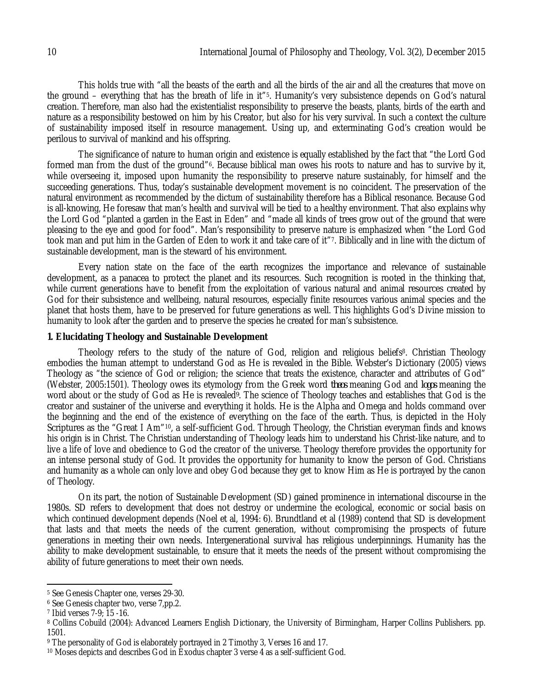This holds true with "all the beasts of the earth and all the birds of the air and all the creatures that move on the ground – everything that has the breath of life in it"5. Humanity's very subsistence depends on God's natural creation. Therefore, man also had the existentialist responsibility to preserve the beasts, plants, birds of the earth and nature as a responsibility bestowed on him by his Creator, but also for his very survival. In such a context the culture of sustainability imposed itself in resource management. Using up, and exterminating God's creation would be perilous to survival of mankind and his offspring.

The significance of nature to human origin and existence is equally established by the fact that "the Lord God formed man from the dust of the ground"<sup>6</sup>. Because biblical man owes his roots to nature and has to survive by it, while overseeing it, imposed upon humanity the responsibility to preserve nature sustainably, for himself and the succeeding generations. Thus, today's sustainable development movement is no coincident. The preservation of the natural environment as recommended by the dictum of sustainability therefore has a Biblical resonance. Because God is all-knowing, He foresaw that man's health and survival will be tied to a healthy environment. That also explains why the Lord God "planted a garden in the East in Eden" and "made all kinds of trees grow out of the ground that were pleasing to the eye and good for food". Man's responsibility to preserve nature is emphasized when "the Lord God took man and put him in the Garden of Eden to work it and take care of it"7. Biblically and in line with the dictum of sustainable development, man is the steward of his environment.

Every nation state on the face of the earth recognizes the importance and relevance of sustainable development, as a panacea to protect the planet and its resources. Such recognition is rooted in the thinking that, while current generations have to benefit from the exploitation of various natural and animal resources created by God for their subsistence and wellbeing, natural resources, especially finite resources various animal species and the planet that hosts them, have to be preserved for future generations as well. This highlights God's Divine mission to humanity to look after the garden and to preserve the species he created for man's subsistence.

#### **1. Elucidating Theology and Sustainable Development**

Theology refers to the study of the nature of God, religion and religious beliefs8. Christian Theology embodies the human attempt to understand God as He is revealed in the Bible. Webster's Dictionary (2005) views Theology as "the science of God or religion; the science that treats the existence, character and attributes of God" (Webster, 2005:1501). Theology owes its etymology from the Greek word *theos* meaning God and *logos* meaning the word about or the study of God as He is revealed*9*. The science of Theology teaches and establishes that God is the creator and sustainer of the universe and everything it holds. He is the Alpha and Omega and holds command over the beginning and the end of the existence of everything on the face of the earth. Thus, is depicted in the Holy Scriptures as the "Great I Am"10, a self-sufficient God. Through Theology, the Christian everyman finds and knows his origin is in Christ. The Christian understanding of Theology leads him to understand his Christ-like nature, and to live a life of love and obedience to God the creator of the universe. Theology therefore provides the opportunity for an intense personal study of God. It provides the opportunity for humanity to know the person of God. Christians and humanity as a whole can only love and obey God because they get to know Him as He is portrayed by the canon of Theology.

On its part, the notion of Sustainable Development (SD) gained prominence in international discourse in the 1980s. SD refers to development that does not destroy or undermine the ecological, economic or social basis on which continued development depends (Noel et al, 1994: 6). Brundtland et al (1989) contend that SD is development that lasts and that meets the needs of the current generation, without compromising the prospects of future generations in meeting their own needs. Intergenerational survival has religious underpinnings. Humanity has the ability to make development sustainable, to ensure that it meets the needs of the present without compromising the ability of future generations to meet their own needs.

 $\overline{a}$ <sup>5</sup> See Genesis Chapter one, verses 29-30.

<sup>6</sup> See Genesis chapter two, verse 7,pp.2.

<sup>7</sup> Ibid verses 7-9; 15 -16.

<sup>8</sup> Collins Cobuild (2004): Advanced Learners English Dictionary, the University of Birmingham, Harper Collins Publishers. pp. 1501.

<sup>9</sup> The personality of God is elaborately portrayed in 2 Timothy 3, Verses 16 and 17.

<sup>10</sup> Moses depicts and describes God in Exodus chapter 3 verse 4 as a self-sufficient God.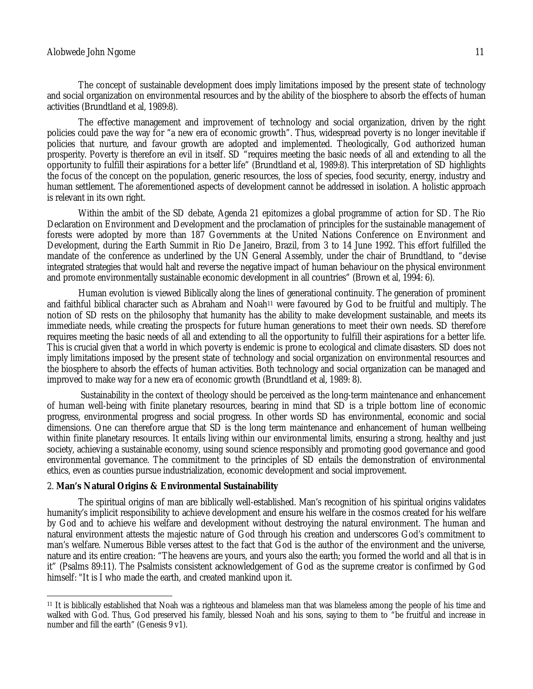#### Alobwede John Ngome 11

The concept of sustainable development does imply limitations imposed by the present state of technology and social organization on environmental resources and by the ability of the biosphere to absorb the effects of human activities (Brundtland et al, 1989:8).

The effective management and improvement of technology and social organization, driven by the right policies could pave the way for "a new era of economic growth". Thus, widespread poverty is no longer inevitable if policies that nurture, and favour growth are adopted and implemented. Theologically, God authorized human prosperity. Poverty is therefore an evil in itself. SD "requires meeting the basic needs of all and extending to all the opportunity to fulfill their aspirations for a better life" (Brundtland et al, 1989:8). This interpretation of SD highlights the focus of the concept on the population, generic resources, the loss of species, food security, energy, industry and human settlement. The aforementioned aspects of development cannot be addressed in isolation. A holistic approach is relevant in its own right.

Within the ambit of the SD debate, Agenda 21 epitomizes a global programme of action for SD. The Rio Declaration on Environment and Development and the proclamation of principles for the sustainable management of forests were adopted by more than 187 Governments at the United Nations Conference on Environment and Development, during the Earth Summit in Rio De Janeiro, Brazil, from 3 to 14 June 1992. This effort fulfilled the mandate of the conference as underlined by the UN General Assembly, under the chair of Brundtland, to "devise integrated strategies that would halt and reverse the negative impact of human behaviour on the physical environment and promote environmentally sustainable economic development in all countries" (Brown et al, 1994: 6).

Human evolution is viewed Biblically along the lines of generational continuity. The generation of prominent and faithful biblical character such as Abraham and Noah<sup>11</sup> were favoured by God to be fruitful and multiply. The notion of SD rests on the philosophy that humanity has the ability to make development sustainable, and meets its immediate needs, while creating the prospects for future human generations to meet their own needs. SD therefore requires meeting the basic needs of all and extending to all the opportunity to fulfill their aspirations for a better life. This is crucial given that a world in which poverty is endemic is prone to ecological and climate disasters. SD does not imply limitations imposed by the present state of technology and social organization on environmental resources and the biosphere to absorb the effects of human activities. Both technology and social organization can be managed and improved to make way for a new era of economic growth (Brundtland et al, 1989: 8).

Sustainability in the context of theology should be perceived as the long-term maintenance and enhancement of human well-being with finite planetary resources, bearing in mind that SD is a triple bottom line of economic progress, environmental progress and social progress. In other words SD has environmental, economic and social dimensions. One can therefore argue that SD is the long term maintenance and enhancement of human wellbeing within finite planetary resources. It entails living within our environmental limits, ensuring a strong, healthy and just society, achieving a sustainable economy, using sound science responsibly and promoting good governance and good environmental governance. The commitment to the principles of SD entails the demonstration of environmental ethics, even as counties pursue industrialization, economic development and social improvement.

### 2. **Man's Natural Origins & Environmental Sustainability**

The spiritual origins of man are biblically well-established. Man's recognition of his spiritual origins validates humanity's implicit responsibility to achieve development and ensure his welfare in the cosmos created for his welfare by God and to achieve his welfare and development without destroying the natural environment. The human and natural environment attests the majestic nature of God through his creation and underscores God's commitment to man's welfare. Numerous Bible verses attest to the fact that God is the author of the environment and the universe, nature and its entire creation: "The heavens are yours, and yours also the earth; you formed the world and all that is in it" (Psalms 89:11). The Psalmists consistent acknowledgement of God as the supreme creator is confirmed by God himself: "It is I who made the earth, and created mankind upon it.

 $\overline{\phantom{a}}$ <sup>11</sup> It is biblically established that Noah was a righteous and blameless man that was blameless among the people of his time and walked with God. Thus, God preserved his family, blessed Noah and his sons, saying to them to "be fruitful and increase in number and fill the earth" (Genesis 9 v1).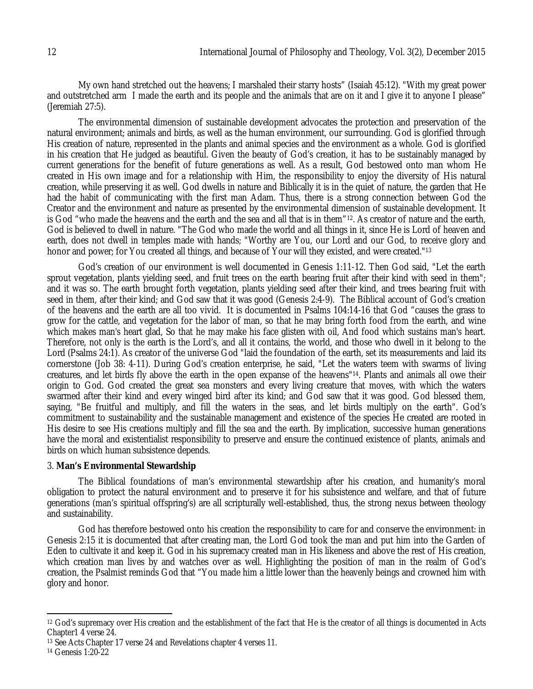My own hand stretched out the heavens; I marshaled their starry hosts" (Isaiah 45:12). "With my great power and outstretched arm I made the earth and its people and the animals that are on it and I give it to anyone I please" (Jeremiah 27:5).

The environmental dimension of sustainable development advocates the protection and preservation of the natural environment; animals and birds, as well as the human environment, our surrounding. God is glorified through His creation of nature, represented in the plants and animal species and the environment as a whole. God is glorified in his creation that He judged as beautiful. Given the beauty of God's creation, it has to be sustainably managed by current generations for the benefit of future generations as well. As a result, God bestowed onto man whom He created in His own image and for a relationship with Him, the responsibility to enjoy the diversity of His natural creation, while preserving it as well. God dwells in nature and Biblically it is in the quiet of nature, the garden that He had the habit of communicating with the first man Adam. Thus, there is a strong connection between God the Creator and the environment and nature as presented by the environmental dimension of sustainable development. It is God "who made the heavens and the earth and the sea and all that is in them"12. As creator of nature and the earth, God is believed to dwell in nature. "The God who made the world and all things in it, since He is Lord of heaven and earth, does not dwell in temples made with hands; "Worthy are You, our Lord and our God, to receive glory and honor and power; for You created all things, and because of Your will they existed, and were created."<sup>13</sup>

God's creation of our environment is well documented in Genesis 1:11-12. Then God said, "Let the earth sprout vegetation, plants yielding seed, and fruit trees on the earth bearing fruit after their kind with seed in them"; and it was so. The earth brought forth vegetation, plants yielding seed after their kind, and trees bearing fruit with seed in them, after their kind; and God saw that it was good (Genesis 2:4-9). The Biblical account of God's creation of the heavens and the earth are all too vivid. It is documented in Psalms 104:14-16 that God "causes the grass to grow for the cattle, and vegetation for the labor of man, so that he may bring forth food from the earth, and wine which makes man's heart glad, So that he may make his face glisten with oil, And food which sustains man's heart. Therefore, not only is the earth is the Lord's, and all it contains, the world, and those who dwell in it belong to the Lord (Psalms 24:1). As creator of the universe God "laid the foundation of the earth, set its measurements and laid its cornerstone (Job 38: 4-11). During God's creation enterprise, he said, "Let the waters teem with swarms of living creatures, and let birds fly above the earth in the open expanse of the heavens"14. Plants and animals all owe their origin to God. God created the great sea monsters and every living creature that moves, with which the waters swarmed after their kind and every winged bird after its kind; and God saw that it was good. God blessed them, saying, "Be fruitful and multiply, and fill the waters in the seas, and let birds multiply on the earth". God's commitment to sustainability and the sustainable management and existence of the species He created are rooted in His desire to see His creations multiply and fill the sea and the earth. By implication, successive human generations have the moral and existentialist responsibility to preserve and ensure the continued existence of plants, animals and birds on which human subsistence depends.

### 3. **Man's Environmental Stewardship**

The Biblical foundations of man's environmental stewardship after his creation, and humanity's moral obligation to protect the natural environment and to preserve it for his subsistence and welfare, and that of future generations (man's spiritual offspring's) are all scripturally well-established, thus, the strong nexus between theology and sustainability.

God has therefore bestowed onto his creation the responsibility to care for and conserve the environment: in Genesis 2:15 it is documented that after creating man, the Lord God took the man and put him into the Garden of Eden to cultivate it and keep it. God in his supremacy created man in His likeness and above the rest of His creation, which creation man lives by and watches over as well. Highlighting the position of man in the realm of God's creation, the Psalmist reminds God that "You made him a little lower than the heavenly beings and crowned him with glory and honor.

 $\overline{a}$ <sup>12</sup> God's supremacy over His creation and the establishment of the fact that He is the creator of all things is documented in Acts Chapter1 4 verse 24.

<sup>&</sup>lt;sup>13</sup> See Acts Chapter 17 verse 24 and Revelations chapter 4 verses 11.

<sup>14</sup> Genesis 1:20-22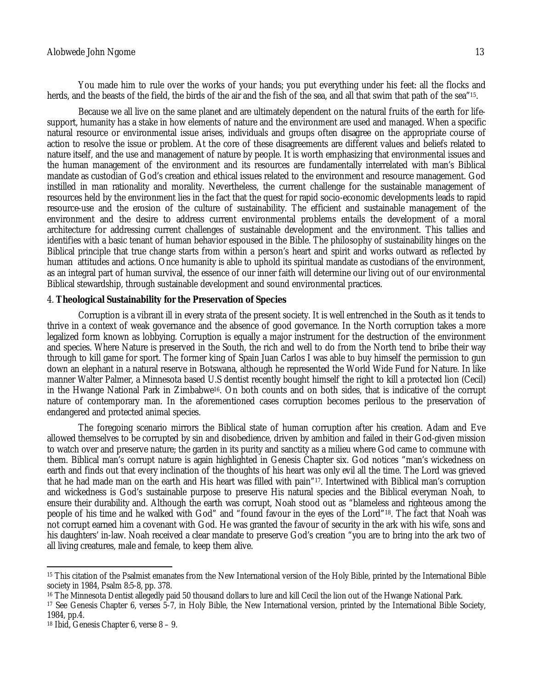You made him to rule over the works of your hands; you put everything under his feet: all the flocks and herds, and the beasts of the field, the birds of the air and the fish of the sea, and all that swim that path of the sea"15.

Because we all live on the same planet and are ultimately dependent on the natural fruits of the earth for lifesupport, humanity has a stake in how elements of nature and the environment are used and managed. When a specific natural resource or environmental issue arises, individuals and groups often disagree on the appropriate course of action to resolve the issue or problem. At the core of these disagreements are different values and beliefs related to nature itself, and the use and management of nature by people. It is worth emphasizing that environmental issues and the human management of the environment and its resources are fundamentally interrelated with man's Biblical mandate as custodian of God's creation and ethical issues related to the environment and resource management. God instilled in man rationality and morality. Nevertheless, the current challenge for the sustainable management of resources held by the environment lies in the fact that the quest for rapid socio-economic developments leads to rapid resource-use and the erosion of the culture of sustainability. The efficient and sustainable management of the environment and the desire to address current environmental problems entails the development of a moral architecture for addressing current challenges of sustainable development and the environment. This tallies and identifies with a basic tenant of human behavior espoused in the Bible. The philosophy of sustainability hinges on the Biblical principle that true change starts from within a person's heart and spirit and works outward as reflected by human attitudes and actions. Once humanity is able to uphold its spiritual mandate as custodians of the environment, as an integral part of human survival, the essence of our inner faith will determine our living out of our environmental Biblical stewardship, through sustainable development and sound environmental practices.

### 4. **Theological Sustainability for the Preservation of Species**

Corruption is a vibrant ill in every strata of the present society. It is well entrenched in the South as it tends to thrive in a context of weak governance and the absence of good governance. In the North corruption takes a more legalized form known as lobbying. Corruption is equally a major instrument for the destruction of the environment and species. Where Nature is preserved in the South, the rich and well to do from the North tend to bribe their way through to kill game for sport. The former king of Spain Juan Carlos I was able to buy himself the permission to gun down an elephant in a natural reserve in Botswana, although he represented the World Wide Fund for Nature. In like manner Walter Palmer, a Minnesota based U.S dentist recently bought himself the right to kill a protected lion (Cecil) in the Hwange National Park in Zimbabwe16. On both counts and on both sides, that is indicative of the corrupt nature of contemporary man. In the aforementioned cases corruption becomes perilous to the preservation of endangered and protected animal species.

The foregoing scenario mirrors the Biblical state of human corruption after his creation. Adam and Eve allowed themselves to be corrupted by sin and disobedience, driven by ambition and failed in their God-given mission to watch over and preserve nature; the garden in its purity and sanctity as a milieu where God came to commune with them. Biblical man's corrupt nature is again highlighted in Genesis Chapter six. God notices "man's wickedness on earth and finds out that every inclination of the thoughts of his heart was only evil all the time. The Lord was grieved that he had made man on the earth and His heart was filled with pain"17. Intertwined with Biblical man's corruption and wickedness is God's sustainable purpose to preserve His natural species and the Biblical everyman Noah, to ensure their durability and. Although the earth was corrupt, Noah stood out as "blameless and righteous among the people of his time and he walked with God" and "found favour in the eyes of the Lord"18. The fact that Noah was not corrupt earned him a covenant with God. He was granted the favour of security in the ark with his wife, sons and his daughters' in-law. Noah received a clear mandate to preserve God's creation "you are to bring into the ark two of all living creatures, male and female, to keep them alive.

 $\overline{a}$ 

<sup>&</sup>lt;sup>15</sup> This citation of the Psalmist emanates from the New International version of the Holy Bible, printed by the International Bible society in 1984, Psalm 8:5-8, pp. 378.

<sup>16</sup> The Minnesota Dentist allegedly paid 50 thousand dollars to lure and kill Cecil the lion out of the Hwange National Park.

<sup>17</sup> See Genesis Chapter 6, verses 5-7, in Holy Bible, the New International version, printed by the International Bible Society, 1984, pp.4.

<sup>18</sup> Ibid, Genesis Chapter 6, verse 8 – 9.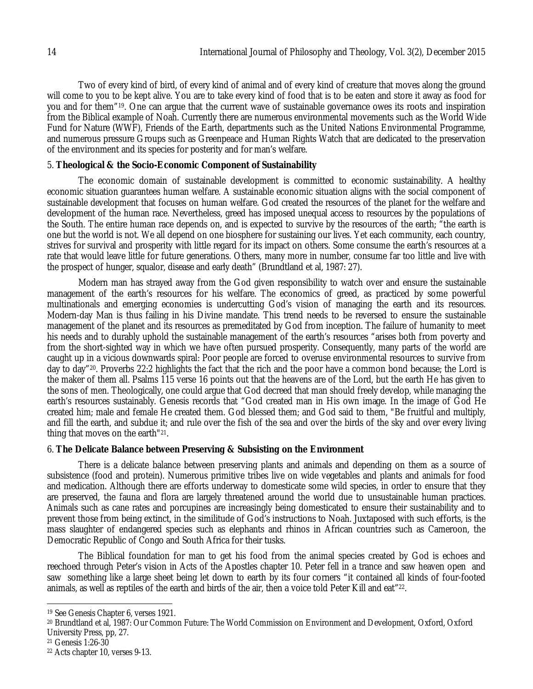Two of every kind of bird, of every kind of animal and of every kind of creature that moves along the ground will come to you to be kept alive. You are to take every kind of food that is to be eaten and store it away as food for you and for them"19. One can argue that the current wave of sustainable governance owes its roots and inspiration from the Biblical example of Noah. Currently there are numerous environmental movements such as the World Wide Fund for Nature (WWF), Friends of the Earth, departments such as the United Nations Environmental Programme, and numerous pressure Groups such as Greenpeace and Human Rights Watch that are dedicated to the preservation of the environment and its species for posterity and for man's welfare.

## 5. **Theological & the Socio-Economic Component of Sustainability**

The economic domain of sustainable development is committed to economic sustainability. A healthy economic situation guarantees human welfare. A sustainable economic situation aligns with the social component of sustainable development that focuses on human welfare. God created the resources of the planet for the welfare and development of the human race. Nevertheless, greed has imposed unequal access to resources by the populations of the South. The entire human race depends on, and is expected to survive by the resources of the earth; "the earth is one but the world is not. We all depend on one biosphere for sustaining our lives. Yet each community, each country, strives for survival and prosperity with little regard for its impact on others. Some consume the earth's resources at a rate that would leave little for future generations. Others, many more in number, consume far too little and live with the prospect of hunger, squalor, disease and early death" (Brundtland et al, 1987: 27).

Modern man has strayed away from the God given responsibility to watch over and ensure the sustainable management of the earth's resources for his welfare. The economics of greed, as practiced by some powerful multinationals and emerging economies is undercutting God's vision of managing the earth and its resources. Modern-day Man is thus failing in his Divine mandate. This trend needs to be reversed to ensure the sustainable management of the planet and its resources as premeditated by God from inception. The failure of humanity to meet his needs and to durably uphold the sustainable management of the earth's resources "arises both from poverty and from the short-sighted way in which we have often pursued prosperity. Consequently, many parts of the world are caught up in a vicious downwards spiral: Poor people are forced to overuse environmental resources to survive from day to day"20. Proverbs 22:2 highlights the fact that the rich and the poor have a common bond because; the Lord is the maker of them all. Psalms 115 verse 16 points out that the heavens are of the Lord, but the earth He has given to the sons of men. Theologically, one could argue that God decreed that man should freely develop, while managing the earth's resources sustainably. Genesis records that "God created man in His own image. In the image of God He created him; male and female He created them. God blessed them; and God said to them, "Be fruitful and multiply, and fill the earth, and subdue it; and rule over the fish of the sea and over the birds of the sky and over every living thing that moves on the earth"21.

### 6. **The Delicate Balance between Preserving & Subsisting on the Environment**

There is a delicate balance between preserving plants and animals and depending on them as a source of subsistence (food and protein). Numerous primitive tribes live on wide vegetables and plants and animals for food and medication. Although there are efforts underway to domesticate some wild species, in order to ensure that they are preserved, the fauna and flora are largely threatened around the world due to unsustainable human practices. Animals such as cane rates and porcupines are increasingly being domesticated to ensure their sustainability and to prevent those from being extinct, in the similitude of God's instructions to Noah. Juxtaposed with such efforts, is the mass slaughter of endangered species such as elephants and rhinos in African countries such as Cameroon, the Democratic Republic of Congo and South Africa for their tusks.

The Biblical foundation for man to get his food from the animal species created by God is echoes and reechoed through Peter's vision in Acts of the Apostles chapter 10. Peter fell in a trance and saw heaven open and saw something like a large sheet being let down to earth by its four corners "it contained all kinds of four-footed animals, as well as reptiles of the earth and birds of the air, then a voice told Peter Kill and eat"22.

 $\overline{a}$ <sup>19</sup> See Genesis Chapter 6, verses 1921.

<sup>20</sup> Brundtland et al, 1987: Our Common Future: The World Commission on Environment and Development, Oxford, Oxford University Press, pp, 27.

<sup>21</sup> Genesis 1:26-30

<sup>22</sup> Acts chapter 10, verses 9-13.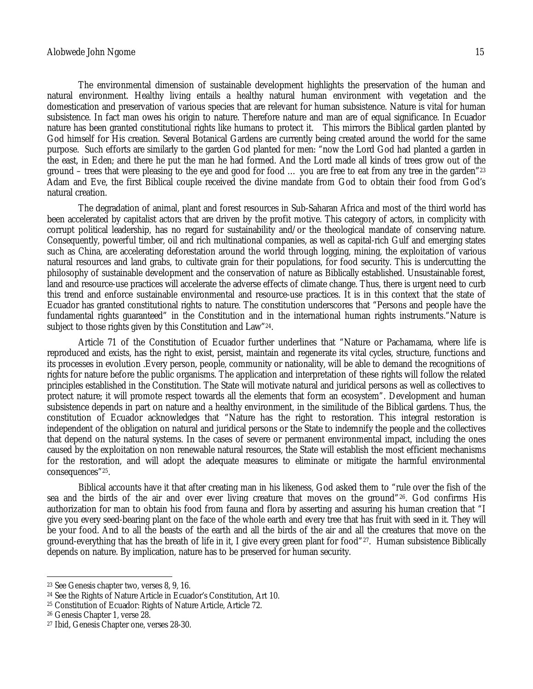The environmental dimension of sustainable development highlights the preservation of the human and natural environment. Healthy living entails a healthy natural human environment with vegetation and the domestication and preservation of various species that are relevant for human subsistence. Nature is vital for human subsistence. In fact man owes his origin to nature. Therefore nature and man are of equal significance. In Ecuador nature has been granted constitutional rights like humans to protect it. This mirrors the Biblical garden planted by God himself for His creation. Several Botanical Gardens are currently being created around the world for the same purpose. Such efforts are similarly to the garden God planted for men: "now the Lord God had planted a garden in the east, in Eden; and there he put the man he had formed. And the Lord made all kinds of trees grow out of the ground – trees that were pleasing to the eye and good for food … you are free to eat from any tree in the garden"<sup>23</sup> Adam and Eve, the first Biblical couple received the divine mandate from God to obtain their food from God's natural creation.

The degradation of animal, plant and forest resources in Sub-Saharan Africa and most of the third world has been accelerated by capitalist actors that are driven by the profit motive. This category of actors, in complicity with corrupt political leadership, has no regard for sustainability and/or the theological mandate of conserving nature. Consequently, powerful timber, oil and rich multinational companies, as well as capital-rich Gulf and emerging states such as China, are accelerating deforestation around the world through logging, mining, the exploitation of various natural resources and land grabs, to cultivate grain for their populations, for food security. This is undercutting the philosophy of sustainable development and the conservation of nature as Biblically established. Unsustainable forest, land and resource-use practices will accelerate the adverse effects of climate change. Thus, there is urgent need to curb this trend and enforce sustainable environmental and resource-use practices. It is in this context that the state of Ecuador has granted constitutional rights to nature. The constitution underscores that "Persons and people have the fundamental rights guaranteed" in the Constitution and in the international human rights instruments."Nature is subject to those rights given by this Constitution and Law"24.

Article 71 of the Constitution of Ecuador further underlines that "Nature or Pachamama, where life is reproduced and exists, has the right to exist, persist, maintain and regenerate its vital cycles, structure, functions and its processes in evolution .Every person, people, community or nationality, will be able to demand the recognitions of rights for nature before the public organisms. The application and interpretation of these rights will follow the related principles established in the Constitution. The State will motivate natural and juridical persons as well as collectives to protect nature; it will promote respect towards all the elements that form an ecosystem". Development and human subsistence depends in part on nature and a healthy environment, in the similitude of the Biblical gardens. Thus, the constitution of Ecuador acknowledges that "Nature has the right to restoration. This integral restoration is independent of the obligation on natural and juridical persons or the State to indemnify the people and the collectives that depend on the natural systems. In the cases of severe or permanent environmental impact, including the ones caused by the exploitation on non renewable natural resources, the State will establish the most efficient mechanisms for the restoration, and will adopt the adequate measures to eliminate or mitigate the harmful environmental consequences"25.

Biblical accounts have it that after creating man in his likeness, God asked them to "rule over the fish of the sea and the birds of the air and over ever living creature that moves on the ground"26. God confirms His authorization for man to obtain his food from fauna and flora by asserting and assuring his human creation that "I give you every seed-bearing plant on the face of the whole earth and every tree that has fruit with seed in it. They will be your food. And to all the beasts of the earth and all the birds of the air and all the creatures that move on the ground-everything that has the breath of life in it, I give every green plant for food"27. Human subsistence Biblically depends on nature. By implication, nature has to be preserved for human security.

 $\overline{a}$ 

<sup>23</sup> See Genesis chapter two, verses 8, 9, 16.

<sup>24</sup> See the Rights of Nature Article in Ecuador's Constitution, Art 10.

<sup>25</sup> Constitution of Ecuador: Rights of Nature Article, Article 72.

<sup>26</sup> Genesis Chapter 1, verse 28.

<sup>27</sup> Ibid, Genesis Chapter one, verses 28-30.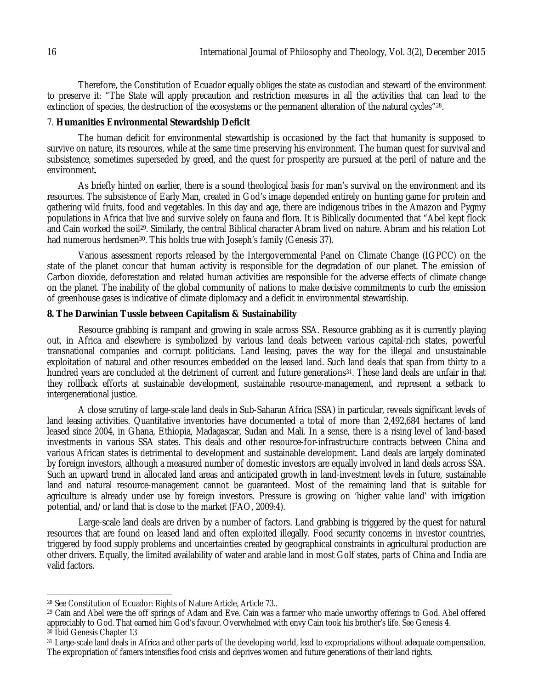Therefore, the Constitution of Ecuador equally obliges the state as custodian and steward of the environment to preserve it: "The State will apply precaution and restriction measures in all the activities that can lead to the extinction of species, the destruction of the ecosystems or the permanent alteration of the natural cycles"28.

### 7. **Humanities Environmental Stewardship Deficit**

The human deficit for environmental stewardship is occasioned by the fact that humanity is supposed to survive on nature, its resources, while at the same time preserving his environment. The human quest for survival and subsistence, sometimes superseded by greed, and the quest for prosperity are pursued at the peril of nature and the environment.

As briefly hinted on earlier, there is a sound theological basis for man's survival on the environment and its resources. The subsistence of Early Man, created in God's image depended entirely on hunting game for protein and gathering wild fruits, food and vegetables. In this day and age, there are indigenous tribes in the Amazon and Pygmy populations in Africa that live and survive solely on fauna and flora. It is Biblically documented that "Abel kept flock and Cain worked the soil<sup>29</sup>. Similarly, the central Biblical character Abram lived on nature. Abram and his relation Lot had numerous herdsmen<sup>30</sup>. This holds true with Joseph's family (Genesis 37).

Various assessment reports released by the Intergovernmental Panel on Climate Change (IGPCC) on the state of the planet concur that human activity is responsible for the degradation of our planet. The emission of Carbon dioxide, deforestation and related human activities are responsible for the adverse effects of climate change on the planet. The inability of the global community of nations to make decisive commitments to curb the emission of greenhouse gases is indicative of climate diplomacy and a deficit in environmental stewardship.

## **8. The Darwinian Tussle between Capitalism & Sustainability**

Resource grabbing is rampant and growing in scale across SSA. Resource grabbing as it is currently playing out, in Africa and elsewhere is symbolized by various land deals between various capital-rich states, powerful transnational companies and corrupt politicians. Land leasing, paves the way for the illegal and unsustainable exploitation of natural and other resources embedded on the leased land. Such land deals that span from thirty to a hundred years are concluded at the detriment of current and future generations<sup>31</sup>. These land deals are unfair in that they rollback efforts at sustainable development, sustainable resource-management, and represent a setback to intergenerational justice.

A close scrutiny of large-scale land deals in Sub-Saharan Africa (SSA) in particular, reveals significant levels of land leasing activities. Quantitative inventories have documented a total of more than 2,492,684 hectares of land leased since 2004, in Ghana, Ethiopia, Madagascar, Sudan and Mali. In a sense, there is a rising level of land-based investments in various SSA states. This deals and other resource-for-infrastructure contracts between China and various African states is detrimental to development and sustainable development. Land deals are largely dominated by foreign investors, although a measured number of domestic investors are equally involved in land deals across SSA. Such an upward trend in allocated land areas and anticipated growth in land-investment levels in future, sustainable land and natural resource-management cannot be guaranteed. Most of the remaining land that is suitable for agriculture is already under use by foreign investors. Pressure is growing on 'higher value land' with irrigation potential, and/or land that is close to the market (FAO, 2009:4).

Large-scale land deals are driven by a number of factors. Land grabbing is triggered by the quest for natural resources that are found on leased land and often exploited illegally. Food security concerns in investor countries, triggered by food supply problems and uncertainties created by geographical constraints in agricultural production are other drivers. Equally, the limited availability of water and arable land in most Golf states, parts of China and India are valid factors.

 $\overline{a}$  $^\mathrm{28}$  See Constitution of Ecuador: Rights of Nature Article, Article 73..

<sup>&</sup>lt;sup>29</sup> Cain and Abel were the off springs of Adam and Eve. Cain was a farmer who made unworthy offerings to God. Abel offered appreciably to God. That earned him God's favour. Overwhelmed with envy Cain took his brother's life. See Genesis 4.

<sup>30</sup> Ibid Genesis Chapter 13

<sup>31</sup> Large-scale land deals in Africa and other parts of the developing world, lead to expropriations without adequate compensation. The expropriation of famers intensifies food crisis and deprives women and future generations of their land rights.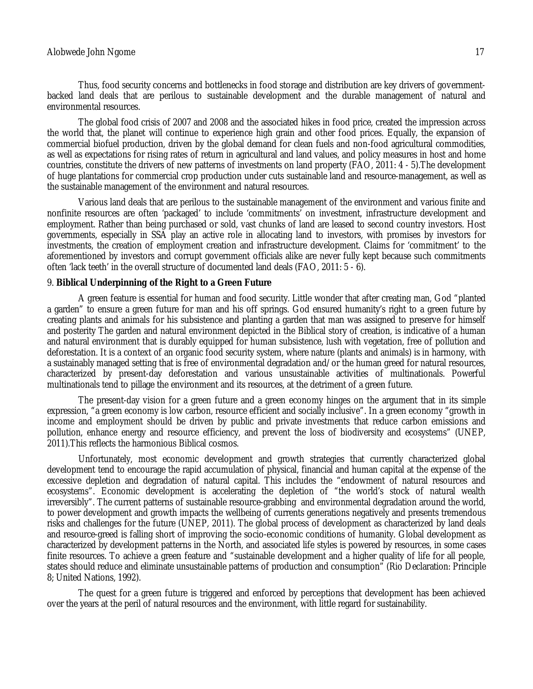#### Alobwede John Ngome 17 and 2008 and 2008 and 2008 and 2008 and 2008 and 2008 and 2008 and 2008 and 2008 and 200

Thus, food security concerns and bottlenecks in food storage and distribution are key drivers of governmentbacked land deals that are perilous to sustainable development and the durable management of natural and environmental resources.

The global food crisis of 2007 and 2008 and the associated hikes in food price, created the impression across the world that, the planet will continue to experience high grain and other food prices. Equally, the expansion of commercial biofuel production, driven by the global demand for clean fuels and non-food agricultural commodities, as well as expectations for rising rates of return in agricultural and land values, and policy measures in host and home countries, constitute the drivers of new patterns of investments on land property (FAO, 2011: 4 - 5).The development of huge plantations for commercial crop production under cuts sustainable land and resource-management, as well as the sustainable management of the environment and natural resources.

Various land deals that are perilous to the sustainable management of the environment and various finite and nonfinite resources are often 'packaged' to include 'commitments' on investment, infrastructure development and employment. Rather than being purchased or sold, vast chunks of land are leased to second country investors. Host governments, especially in SSA play an active role in allocating land to investors, with promises by investors for investments, the creation of employment creation and infrastructure development. Claims for 'commitment' to the aforementioned by investors and corrupt government officials alike are never fully kept because such commitments often 'lack teeth' in the overall structure of documented land deals (FAO, 2011: 5 - 6).

#### 9. **Biblical Underpinning of the Right to a Green Future**

A green feature is essential for human and food security. Little wonder that after creating man, God "planted a garden" to ensure a green future for man and his off springs. God ensured humanity's right to a green future by creating plants and animals for his subsistence and planting a garden that man was assigned to preserve for himself and posterity The garden and natural environment depicted in the Biblical story of creation, is indicative of a human and natural environment that is durably equipped for human subsistence, lush with vegetation, free of pollution and deforestation. It is a context of an organic food security system, where nature (plants and animals) is in harmony, with a sustainably managed setting that is free of environmental degradation and/or the human greed for natural resources, characterized by present-day deforestation and various unsustainable activities of multinationals. Powerful multinationals tend to pillage the environment and its resources, at the detriment of a green future.

The present-day vision for a green future and a green economy hinges on the argument that in its simple expression, "a green economy is low carbon, resource efficient and socially inclusive". In a green economy "growth in income and employment should be driven by public and private investments that reduce carbon emissions and pollution, enhance energy and resource efficiency, and prevent the loss of biodiversity and ecosystems" (UNEP, 2011).This reflects the harmonious Biblical cosmos.

Unfortunately, most economic development and growth strategies that currently characterized global development tend to encourage the rapid accumulation of physical, financial and human capital at the expense of the excessive depletion and degradation of natural capital. This includes the "endowment of natural resources and ecosystems". Economic development is accelerating the depletion of "the world's stock of natural wealth irreversibly". The current patterns of sustainable resource-grabbing and environmental degradation around the world, to power development and growth impacts the wellbeing of currents generations negatively and presents tremendous risks and challenges for the future (UNEP, 2011). The global process of development as characterized by land deals and resource-greed is falling short of improving the socio-economic conditions of humanity. Global development as characterized by development patterns in the North, and associated life styles is powered by resources, in some cases finite resources. To achieve a green feature and "sustainable development and a higher quality of life for all people, states should reduce and eliminate unsustainable patterns of production and consumption" (Rio Declaration: Principle 8; United Nations, 1992).

The quest for a green future is triggered and enforced by perceptions that development has been achieved over the years at the peril of natural resources and the environment, with little regard for sustainability.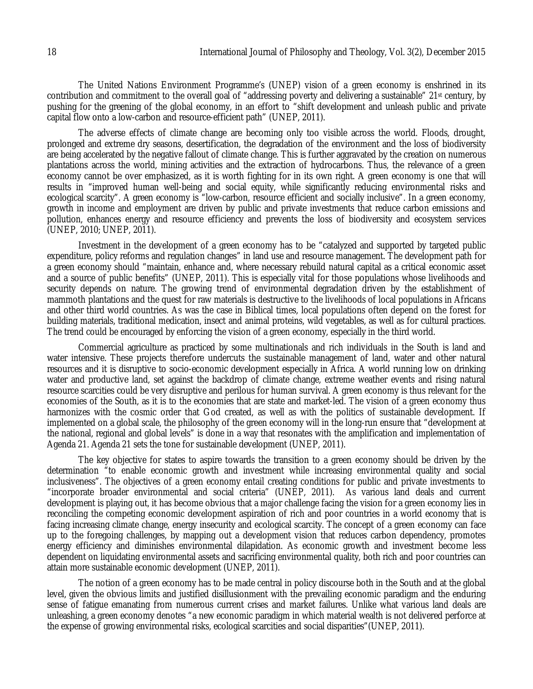The United Nations Environment Programme's (UNEP) vision of a green economy is enshrined in its contribution and commitment to the overall goal of "addressing poverty and delivering a sustainable" 21st century, by pushing for the greening of the global economy, in an effort to "shift development and unleash public and private capital flow onto a low-carbon and resource-efficient path" (UNEP, 2011).

The adverse effects of climate change are becoming only too visible across the world. Floods, drought, prolonged and extreme dry seasons, desertification, the degradation of the environment and the loss of biodiversity are being accelerated by the negative fallout of climate change. This is further aggravated by the creation on numerous plantations across the world, mining activities and the extraction of hydrocarbons. Thus, the relevance of a green economy cannot be over emphasized, as it is worth fighting for in its own right. A green economy is one that will results in "improved human well-being and social equity, while significantly reducing environmental risks and ecological scarcity". A green economy is "low-carbon, resource efficient and socially inclusive". In a green economy, growth in income and employment are driven by public and private investments that reduce carbon emissions and pollution, enhances energy and resource efficiency and prevents the loss of biodiversity and ecosystem services (UNEP, 2010; UNEP, 2011).

Investment in the development of a green economy has to be "catalyzed and supported by targeted public expenditure, policy reforms and regulation changes" in land use and resource management. The development path for a green economy should "maintain, enhance and, where necessary rebuild natural capital as a critical economic asset and a source of public benefits" (UNEP, 2011). This is especially vital for those populations whose livelihoods and security depends on nature. The growing trend of environmental degradation driven by the establishment of mammoth plantations and the quest for raw materials is destructive to the livelihoods of local populations in Africans and other third world countries. As was the case in Biblical times, local populations often depend on the forest for building materials, traditional medication, insect and animal proteins, wild vegetables, as well as for cultural practices. The trend could be encouraged by enforcing the vision of a green economy, especially in the third world.

Commercial agriculture as practiced by some multinationals and rich individuals in the South is land and water intensive. These projects therefore undercuts the sustainable management of land, water and other natural resources and it is disruptive to socio-economic development especially in Africa. A world running low on drinking water and productive land, set against the backdrop of climate change, extreme weather events and rising natural resource scarcities could be very disruptive and perilous for human survival. A green economy is thus relevant for the economies of the South, as it is to the economies that are state and market-led. The vision of a green economy thus harmonizes with the cosmic order that God created, as well as with the politics of sustainable development. If implemented on a global scale, the philosophy of the green economy will in the long-run ensure that "development at the national, regional and global levels" is done in a way that resonates with the amplification and implementation of Agenda 21. Agenda 21 sets the tone for sustainable development (UNEP, 2011).

The key objective for states to aspire towards the transition to a green economy should be driven by the determination "to enable economic growth and investment while increasing environmental quality and social inclusiveness". The objectives of a green economy entail creating conditions for public and private investments to "incorporate broader environmental and social criteria" (UNEP, 2011). As various land deals and current development is playing out, it has become obvious that a major challenge facing the vision for a green economy lies in reconciling the competing economic development aspiration of rich and poor countries in a world economy that is facing increasing climate change, energy insecurity and ecological scarcity. The concept of a green economy can face up to the foregoing challenges, by mapping out a development vision that reduces carbon dependency, promotes energy efficiency and diminishes environmental dilapidation. As economic growth and investment become less dependent on liquidating environmental assets and sacrificing environmental quality, both rich and poor countries can attain more sustainable economic development (UNEP, 2011).

The notion of a green economy has to be made central in policy discourse both in the South and at the global level, given the obvious limits and justified disillusionment with the prevailing economic paradigm and the enduring sense of fatigue emanating from numerous current crises and market failures. Unlike what various land deals are unleashing, a green economy denotes "a new economic paradigm in which material wealth is not delivered perforce at the expense of growing environmental risks, ecological scarcities and social disparities"(UNEP, 2011).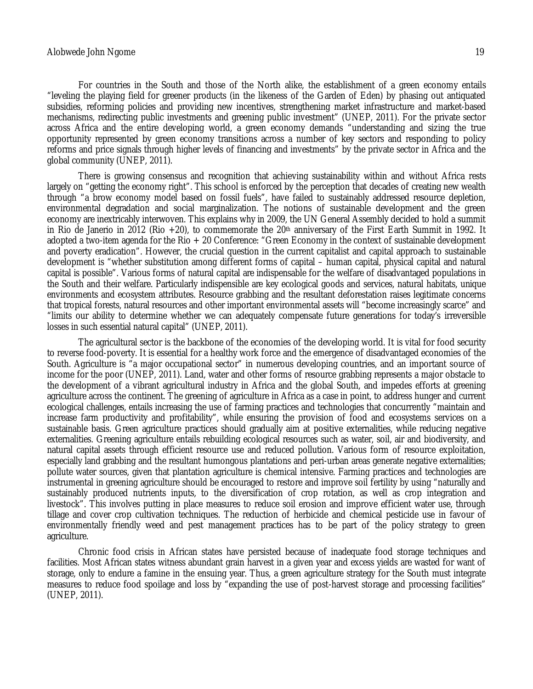For countries in the South and those of the North alike, the establishment of a green economy entails "leveling the playing field for greener products (in the likeness of the Garden of Eden) by phasing out antiquated subsidies, reforming policies and providing new incentives, strengthening market infrastructure and market-based mechanisms, redirecting public investments and greening public investment" (UNEP, 2011). For the private sector across Africa and the entire developing world, a green economy demands "understanding and sizing the true opportunity represented by green economy transitions across a number of key sectors and responding to policy reforms and price signals through higher levels of financing and investments" by the private sector in Africa and the global community (UNEP, 2011).

There is growing consensus and recognition that achieving sustainability within and without Africa rests largely on "getting the economy right". This school is enforced by the perception that decades of creating new wealth through "a brow economy model based on fossil fuels", have failed to sustainably addressed resource depletion, environmental degradation and social marginalization. The notions of sustainable development and the green economy are inextricably interwoven. This explains why in 2009, the UN General Assembly decided to hold a summit in Rio de Janerio in 2012 (Rio +20), to commemorate the 20<sup>th</sup> anniversary of the First Earth Summit in 1992. It adopted a two-item agenda for the Rio + 20 Conference: "Green Economy in the context of sustainable development and poverty eradication". However, the crucial question in the current capitalist and capital approach to sustainable development is "whether substitution among different forms of capital – human capital, physical capital and natural capital is possible". Various forms of natural capital are indispensable for the welfare of disadvantaged populations in the South and their welfare. Particularly indispensible are key ecological goods and services, natural habitats, unique environments and ecosystem attributes. Resource grabbing and the resultant deforestation raises legitimate concerns that tropical forests, natural resources and other important environmental assets will "become increasingly scarce" and "limits our ability to determine whether we can adequately compensate future generations for today's irreversible losses in such essential natural capital" (UNEP, 2011).

The agricultural sector is the backbone of the economies of the developing world. It is vital for food security to reverse food-poverty. It is essential for a healthy work force and the emergence of disadvantaged economies of the South. Agriculture is "a major occupational sector" in numerous developing countries, and an important source of income for the poor (UNEP, 2011). Land, water and other forms of resource grabbing represents a major obstacle to the development of a vibrant agricultural industry in Africa and the global South, and impedes efforts at greening agriculture across the continent. The greening of agriculture in Africa as a case in point, to address hunger and current ecological challenges, entails increasing the use of farming practices and technologies that concurrently "maintain and increase farm productivity and profitability", while ensuring the provision of food and ecosystems services on a sustainable basis. Green agriculture practices should gradually aim at positive externalities, while reducing negative externalities. Greening agriculture entails rebuilding ecological resources such as water, soil, air and biodiversity, and natural capital assets through efficient resource use and reduced pollution. Various form of resource exploitation, especially land grabbing and the resultant humongous plantations and peri-urban areas generate negative externalities; pollute water sources, given that plantation agriculture is chemical intensive. Farming practices and technologies are instrumental in greening agriculture should be encouraged to restore and improve soil fertility by using "naturally and sustainably produced nutrients inputs, to the diversification of crop rotation, as well as crop integration and livestock". This involves putting in place measures to reduce soil erosion and improve efficient water use, through tillage and cover crop cultivation techniques. The reduction of herbicide and chemical pesticide use in favour of environmentally friendly weed and pest management practices has to be part of the policy strategy to green agriculture.

Chronic food crisis in African states have persisted because of inadequate food storage techniques and facilities. Most African states witness abundant grain harvest in a given year and excess yields are wasted for want of storage, only to endure a famine in the ensuing year. Thus, a green agriculture strategy for the South must integrate measures to reduce food spoilage and loss by "expanding the use of post-harvest storage and processing facilities" (UNEP, 2011).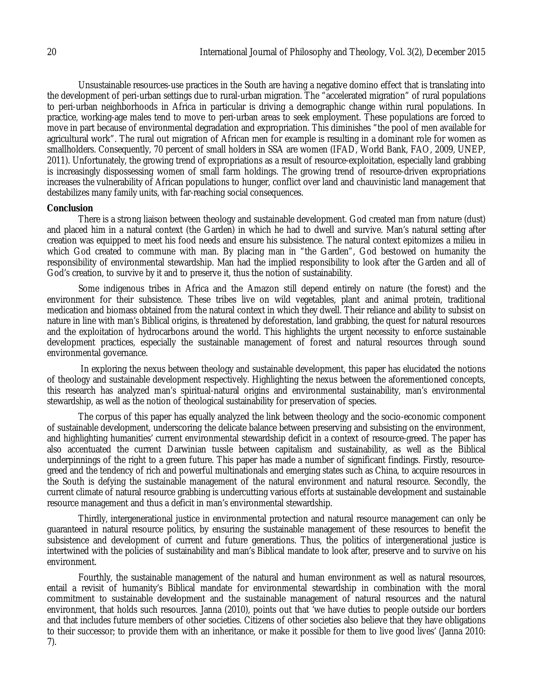Unsustainable resources-use practices in the South are having a negative domino effect that is translating into the development of peri-urban settings due to rural-urban migration. The "accelerated migration" of rural populations to peri-urban neighborhoods in Africa in particular is driving a demographic change within rural populations. In practice, working-age males tend to move to peri-urban areas to seek employment. These populations are forced to move in part because of environmental degradation and expropriation. This diminishes "the pool of men available for agricultural work". The rural out migration of African men for example is resulting in a dominant role for women as smallholders. Consequently, 70 percent of small holders in SSA are women (IFAD, World Bank, FAO, 2009, UNEP, 2011). Unfortunately, the growing trend of expropriations as a result of resource-exploitation, especially land grabbing is increasingly dispossessing women of small farm holdings. The growing trend of resource-driven expropriations increases the vulnerability of African populations to hunger, conflict over land and chauvinistic land management that destabilizes many family units, with far-reaching social consequences.

### **Conclusion**

There is a strong liaison between theology and sustainable development. God created man from nature (dust) and placed him in a natural context (the Garden) in which he had to dwell and survive. Man's natural setting after creation was equipped to meet his food needs and ensure his subsistence. The natural context epitomizes a milieu in which God created to commune with man. By placing man in "the Garden", God bestowed on humanity the responsibility of environmental stewardship. Man had the implied responsibility to look after the Garden and all of God's creation, to survive by it and to preserve it, thus the notion of sustainability.

Some indigenous tribes in Africa and the Amazon still depend entirely on nature (the forest) and the environment for their subsistence. These tribes live on wild vegetables, plant and animal protein, traditional medication and biomass obtained from the natural context in which they dwell. Their reliance and ability to subsist on nature in line with man's Biblical origins, is threatened by deforestation, land grabbing, the quest for natural resources and the exploitation of hydrocarbons around the world. This highlights the urgent necessity to enforce sustainable development practices, especially the sustainable management of forest and natural resources through sound environmental governance.

In exploring the nexus between theology and sustainable development, this paper has elucidated the notions of theology and sustainable development respectively. Highlighting the nexus between the aforementioned concepts, this research has analyzed man's spiritual-natural origins and environmental sustainability, man's environmental stewardship, as well as the notion of theological sustainability for preservation of species.

The corpus of this paper has equally analyzed the link between theology and the socio-economic component of sustainable development, underscoring the delicate balance between preserving and subsisting on the environment, and highlighting humanities' current environmental stewardship deficit in a context of resource-greed. The paper has also accentuated the current Darwinian tussle between capitalism and sustainability, as well as the Biblical underpinnings of the right to a green future. This paper has made a number of significant findings. Firstly, resourcegreed and the tendency of rich and powerful multinationals and emerging states such as China, to acquire resources in the South is defying the sustainable management of the natural environment and natural resource. Secondly, the current climate of natural resource grabbing is undercutting various efforts at sustainable development and sustainable resource management and thus a deficit in man's environmental stewardship.

Thirdly, intergenerational justice in environmental protection and natural resource management can only be guaranteed in natural resource politics, by ensuring the sustainable management of these resources to benefit the subsistence and development of current and future generations. Thus, the politics of intergenerational justice is intertwined with the policies of sustainability and man's Biblical mandate to look after, preserve and to survive on his environment.

Fourthly, the sustainable management of the natural and human environment as well as natural resources, entail a revisit of humanity's Biblical mandate for environmental stewardship in combination with the moral commitment to sustainable development and the sustainable management of natural resources and the natural environment, that holds such resources. Janna (2010), points out that 'we have duties to people outside our borders and that includes future members of other societies. Citizens of other societies also believe that they have obligations to their successor; to provide them with an inheritance, or make it possible for them to live good lives' (Janna 2010: 7).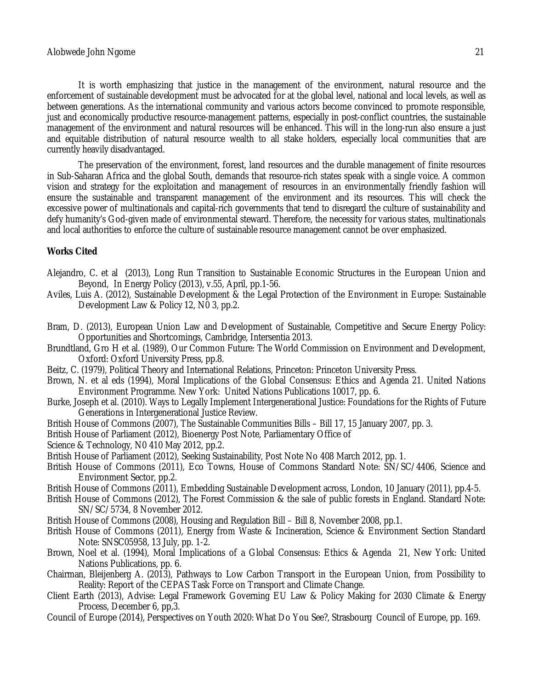It is worth emphasizing that justice in the management of the environment, natural resource and the enforcement of sustainable development must be advocated for at the global level, national and local levels, as well as between generations. As the international community and various actors become convinced to promote responsible, just and economically productive resource-management patterns, especially in post-conflict countries, the sustainable management of the environment and natural resources will be enhanced. This will in the long-run also ensure a just and equitable distribution of natural resource wealth to all stake holders, especially local communities that are currently heavily disadvantaged.

The preservation of the environment, forest, land resources and the durable management of finite resources in Sub-Saharan Africa and the global South, demands that resource-rich states speak with a single voice. A common vision and strategy for the exploitation and management of resources in an environmentally friendly fashion will ensure the sustainable and transparent management of the environment and its resources. This will check the excessive power of multinationals and capital-rich governments that tend to disregard the culture of sustainability and defy humanity's God-given made of environmental steward. Therefore, the necessity for various states, multinationals and local authorities to enforce the culture of sustainable resource management cannot be over emphasized.

## **Works Cited**

- Alejandro, C. et al (2013), Long Run Transition to Sustainable Economic Structures in the European Union and Beyond, In Energy Policy (2013), v.55, April, pp.1-56.
- Aviles, Luis A. (2012), Sustainable Development & the Legal Protection of the Environment in Europe: Sustainable Development Law & Policy 12, N0 3, pp.2.
- Bram, D. (2013), European Union Law and Development of Sustainable, Competitive and Secure Energy Policy: Opportunities and Shortcomings, Cambridge, Intersentia 2013.
- Brundtland, Gro H et al. (1989), Our Common Future: The World Commission on Environment and Development, Oxford: Oxford University Press, pp.8.
- Beitz, C. (1979), Political Theory and International Relations, Princeton: Princeton University Press.
- Brown, N. et al eds (1994), Moral Implications of the Global Consensus: Ethics and Agenda 21. United Nations Environment Programme. New York: United Nations Publications 10017, pp. 6.
- Burke, Joseph et al. (2010). Ways to Legally Implement Intergenerational Justice: Foundations for the Rights of Future Generations in Intergenerational Justice Review.
- British House of Commons (2007), The Sustainable Communities Bills Bill 17, 15 January 2007, pp. 3.
- British House of Parliament (2012), Bioenergy Post Note, Parliamentary Office of
- Science & Technology, N0 410 May 2012, pp.2.
- British House of Parliament (2012), Seeking Sustainability, Post Note No 408 March 2012, pp. 1.
- British House of Commons (2011), Eco Towns, House of Commons Standard Note: SN/SC/4406, Science and Environment Sector, pp.2.
- British House of Commons (2011), Embedding Sustainable Development across, London, 10 January (2011), pp.4-5.
- British House of Commons (2012), The Forest Commission & the sale of public forests in England. Standard Note: SN/SC/5734, 8 November 2012.
- British House of Commons (2008), Housing and Regulation Bill Bill 8, November 2008, pp.1.
- British House of Commons (2011), Energy from Waste & Incineration, Science & Environment Section Standard Note: SNSC05958, 13 July, pp. 1-2.
- Brown, Noel et al. (1994), Moral Implications of a Global Consensus: Ethics & Agenda 21, New York: United Nations Publications, pp. 6.
- Chairman, Bleijenberg A. (2013), Pathways to Low Carbon Transport in the European Union, from Possibility to Reality: Report of the CEPAS Task Force on Transport and Climate Change.
- Client Earth (2013), Advise: Legal Framework Governing EU Law & Policy Making for 2030 Climate & Energy Process, December 6, pp,3.
- Council of Europe (2014), Perspectives on Youth 2020: What Do You See?, Strasbourg Council of Europe, pp. 169.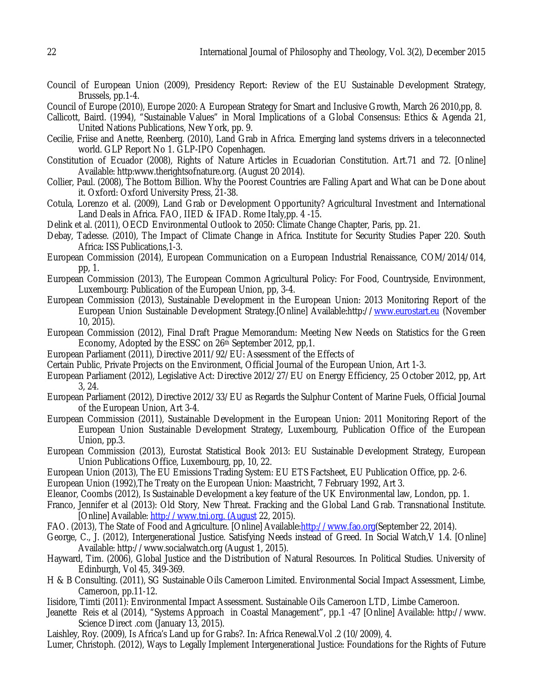- Council of European Union (2009), Presidency Report: Review of the EU Sustainable Development Strategy, Brussels, pp.1-4.
- Council of Europe (2010), Europe 2020: A European Strategy for Smart and Inclusive Growth, March 26 2010,pp, 8.
- Callicott, Baird. (1994), "Sustainable Values" in Moral Implications of a Global Consensus: Ethics & Agenda 21, United Nations Publications, New York, pp. 9.
- Cecilie, Friise and Anette, Reenberg. (2010), Land Grab in Africa. Emerging land systems drivers in a teleconnected world. GLP Report No 1. GLP-IPO Copenhagen.
- Constitution of Ecuador (2008), Rights of Nature Articles in Ecuadorian Constitution. Art.71 and 72. [Online] Available: http:www.therightsofnature.org. (August 20 2014).
- Collier, Paul. (2008), The Bottom Billion. Why the Poorest Countries are Falling Apart and What can be Done about it. Oxford: Oxford University Press, 21-38.
- Cotula, Lorenzo et al. (2009), Land Grab or Development Opportunity? Agricultural Investment and International Land Deals in Africa. FAO, IIED & IFAD. Rome Italy,pp. 4 -15.
- Delink et al. (2011), OECD Environmental Outlook to 2050: Climate Change Chapter, Paris, pp. 21.
- Debay, Tadesse. (2010), The Impact of Climate Change in Africa. Institute for Security Studies Paper 220. South Africa: ISS Publications,1-3.
- European Commission (2014), European Communication on a European Industrial Renaissance, COM/2014/014, pp, 1.
- European Commission (2013), The European Common Agricultural Policy: For Food, Countryside, Environment, Luxembourg: Publication of the European Union, pp, 3-4.
- European Commission (2013), Sustainable Development in the European Union: 2013 Monitoring Report of the European Union Sustainable Development Strategy.[Online] Available:http://www.eurostart.eu (November 10, 2015).
- European Commission (2012), Final Draft Prague Memorandum: Meeting New Needs on Statistics for the Green Economy, Adopted by the ESSC on 26th September 2012, pp,1.
- European Parliament (2011), Directive 2011/92/EU: Assessment of the Effects of
- Certain Public, Private Projects on the Environment, Official Journal of the European Union, Art 1-3.
- European Parliament (2012), Legislative Act: Directive 2012/27/EU on Energy Efficiency, 25 October 2012, pp, Art 3, 24.
- European Parliament (2012), Directive 2012/33/EU as Regards the Sulphur Content of Marine Fuels, Official Journal of the European Union, Art 3-4.
- European Commission (2011), Sustainable Development in the European Union: 2011 Monitoring Report of the European Union Sustainable Development Strategy, Luxembourg, Publication Office of the European Union, pp.3.
- European Commission (2013), Eurostat Statistical Book 2013: EU Sustainable Development Strategy, European Union Publications Office, Luxembourg, pp, 10, 22.
- European Union (2013), The EU Emissions Trading System: EU ETS Factsheet, EU Publication Office, pp. 2-6.
- European Union (1992),The Treaty on the European Union: Maastricht, 7 February 1992, Art 3.
- Eleanor, Coombs (2012), Is Sustainable Development a key feature of the UK Environmental law, London, pp. 1.
- Franco, Jennifer et al (2013): Old Story, New Threat. Fracking and the Global Land Grab. Transnational Institute. [Online] Available: http://www.tni.org. (August 22, 2015).
- FAO. (2013), The State of Food and Agriculture. [Online] Available:http://www.fao.org(September 22, 2014).
- George, C., J. (2012), Intergenerational Justice. Satisfying Needs instead of Greed. In Social Watch,V 1.4. [Online] Available: http://www.socialwatch.org (August 1, 2015).
- Hayward, Tim. (2006), Global Justice and the Distribution of Natural Resources. In Political Studies. University of Edinburgh, Vol 45, 349-369.
- H & B Consulting. (2011), SG Sustainable Oils Cameroon Limited. Environmental Social Impact Assessment, Limbe, Cameroon, pp.11-12.
- Iisidore, Timti (2011): Environmental Impact Assessment. Sustainable Oils Cameroon LTD, Limbe Cameroon.
- Jeanette Reis et al (2014), "Systems Approach in Coastal Management", pp.1 -47 [Online] Available: http://www. Science Direct .com (January 13, 2015).
- Laishley, Roy. (2009), Is Africa's Land up for Grabs?. In: Africa Renewal.Vol .2 (10/2009), 4.
- Lumer, Christoph. (2012), Ways to Legally Implement Intergenerational Justice: Foundations for the Rights of Future